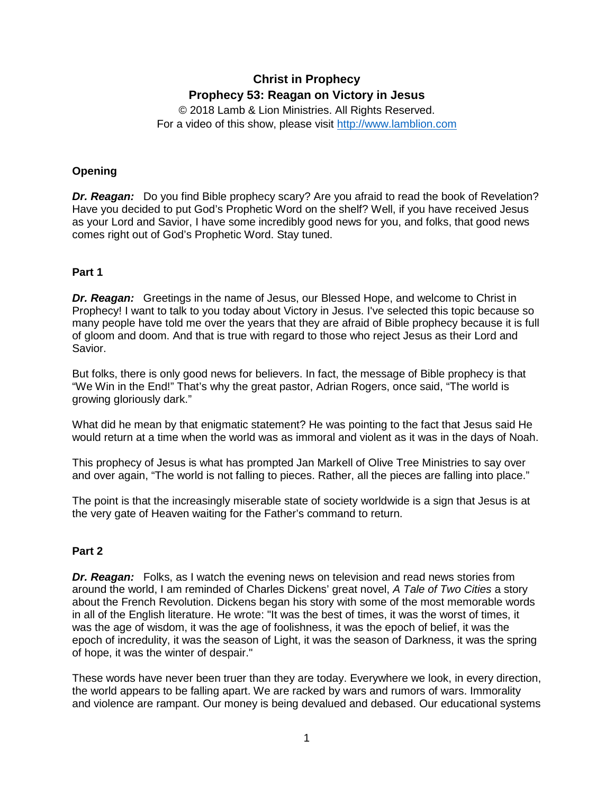# **Christ in Prophecy Prophecy 53: Reagan on Victory in Jesus**

© 2018 Lamb & Lion Ministries. All Rights Reserved. For a video of this show, please visit [http://www.lamblion.com](http://www.lamblion.com/)

# **Opening**

*Dr. Reagan:* Do you find Bible prophecy scary? Are you afraid to read the book of Revelation? Have you decided to put God's Prophetic Word on the shelf? Well, if you have received Jesus as your Lord and Savior, I have some incredibly good news for you, and folks, that good news comes right out of God's Prophetic Word. Stay tuned.

# **Part 1**

*Dr. Reagan:* Greetings in the name of Jesus, our Blessed Hope, and welcome to Christ in Prophecy! I want to talk to you today about Victory in Jesus. I've selected this topic because so many people have told me over the years that they are afraid of Bible prophecy because it is full of gloom and doom. And that is true with regard to those who reject Jesus as their Lord and Savior.

But folks, there is only good news for believers. In fact, the message of Bible prophecy is that "We Win in the End!" That's why the great pastor, Adrian Rogers, once said, "The world is growing gloriously dark."

What did he mean by that enigmatic statement? He was pointing to the fact that Jesus said He would return at a time when the world was as immoral and violent as it was in the days of Noah.

This prophecy of Jesus is what has prompted Jan Markell of Olive Tree Ministries to say over and over again, "The world is not falling to pieces. Rather, all the pieces are falling into place."

The point is that the increasingly miserable state of society worldwide is a sign that Jesus is at the very gate of Heaven waiting for the Father's command to return.

## **Part 2**

*Dr. Reagan:* Folks, as I watch the evening news on television and read news stories from around the world, I am reminded of Charles Dickens' great novel, *A Tale of Two Cities* a story about the French Revolution. Dickens began his story with some of the most memorable words in all of the English literature. He wrote: "It was the best of times, it was the worst of times, it was the age of wisdom, it was the age of foolishness, it was the epoch of belief, it was the epoch of incredulity, it was the season of Light, it was the season of Darkness, it was the spring of hope, it was the winter of despair."

These words have never been truer than they are today. Everywhere we look, in every direction, the world appears to be falling apart. We are racked by wars and rumors of wars. Immorality and violence are rampant. Our money is being devalued and debased. Our educational systems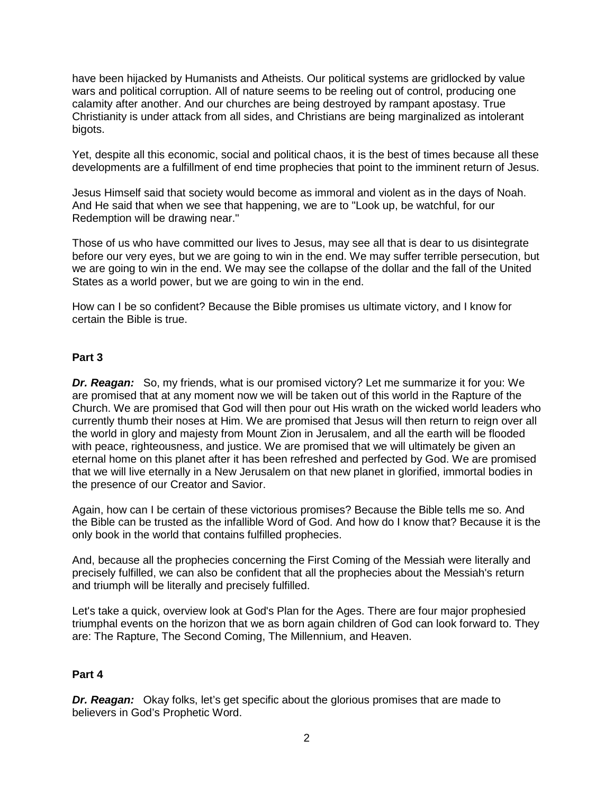have been hijacked by Humanists and Atheists. Our political systems are gridlocked by value wars and political corruption. All of nature seems to be reeling out of control, producing one calamity after another. And our churches are being destroyed by rampant apostasy. True Christianity is under attack from all sides, and Christians are being marginalized as intolerant bigots.

Yet, despite all this economic, social and political chaos, it is the best of times because all these developments are a fulfillment of end time prophecies that point to the imminent return of Jesus.

Jesus Himself said that society would become as immoral and violent as in the days of Noah. And He said that when we see that happening, we are to "Look up, be watchful, for our Redemption will be drawing near."

Those of us who have committed our lives to Jesus, may see all that is dear to us disintegrate before our very eyes, but we are going to win in the end. We may suffer terrible persecution, but we are going to win in the end. We may see the collapse of the dollar and the fall of the United States as a world power, but we are going to win in the end.

How can I be so confident? Because the Bible promises us ultimate victory, and I know for certain the Bible is true.

## **Part 3**

*Dr. Reagan:* So, my friends, what is our promised victory? Let me summarize it for you: We are promised that at any moment now we will be taken out of this world in the Rapture of the Church. We are promised that God will then pour out His wrath on the wicked world leaders who currently thumb their noses at Him. We are promised that Jesus will then return to reign over all the world in glory and majesty from Mount Zion in Jerusalem, and all the earth will be flooded with peace, righteousness, and justice. We are promised that we will ultimately be given an eternal home on this planet after it has been refreshed and perfected by God. We are promised that we will live eternally in a New Jerusalem on that new planet in glorified, immortal bodies in the presence of our Creator and Savior.

Again, how can I be certain of these victorious promises? Because the Bible tells me so. And the Bible can be trusted as the infallible Word of God. And how do I know that? Because it is the only book in the world that contains fulfilled prophecies.

And, because all the prophecies concerning the First Coming of the Messiah were literally and precisely fulfilled, we can also be confident that all the prophecies about the Messiah's return and triumph will be literally and precisely fulfilled.

Let's take a quick, overview look at God's Plan for the Ages. There are four major prophesied triumphal events on the horizon that we as born again children of God can look forward to. They are: The Rapture, The Second Coming, The Millennium, and Heaven.

### **Part 4**

**Dr. Reagan:** Okay folks, let's get specific about the glorious promises that are made to believers in God's Prophetic Word.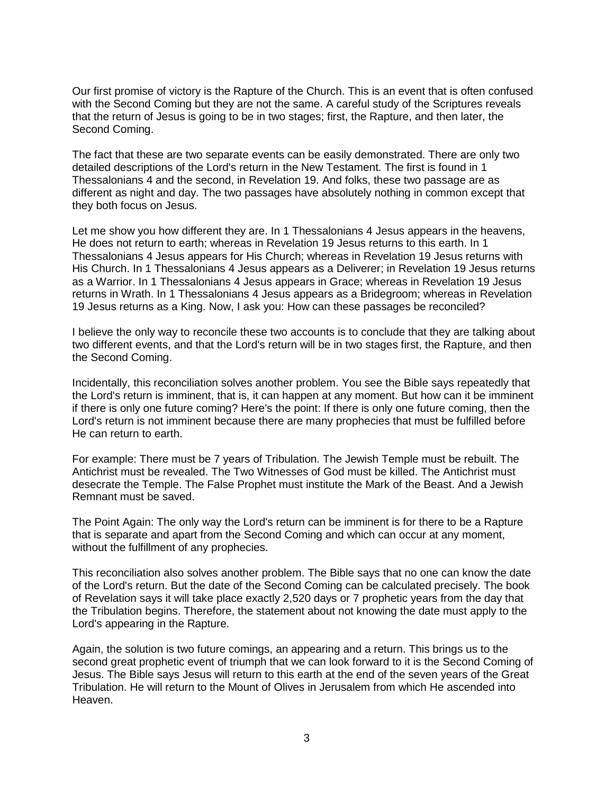Our first promise of victory is the Rapture of the Church. This is an event that is often confused with the Second Coming but they are not the same. A careful study of the Scriptures reveals that the return of Jesus is going to be in two stages; first, the Rapture, and then later, the Second Coming.

The fact that these are two separate events can be easily demonstrated. There are only two detailed descriptions of the Lord's return in the New Testament. The first is found in 1 Thessalonians 4 and the second, in Revelation 19. And folks, these two passage are as different as night and day. The two passages have absolutely nothing in common except that they both focus on Jesus.

Let me show you how different they are. In 1 Thessalonians 4 Jesus appears in the heavens, He does not return to earth; whereas in Revelation 19 Jesus returns to this earth. In 1 Thessalonians 4 Jesus appears for His Church; whereas in Revelation 19 Jesus returns with His Church. In 1 Thessalonians 4 Jesus appears as a Deliverer; in Revelation 19 Jesus returns as a Warrior. In 1 Thessalonians 4 Jesus appears in Grace; whereas in Revelation 19 Jesus returns in Wrath. In 1 Thessalonians 4 Jesus appears as a Bridegroom; whereas in Revelation 19 Jesus returns as a King. Now, I ask you: How can these passages be reconciled?

I believe the only way to reconcile these two accounts is to conclude that they are talking about two different events, and that the Lord's return will be in two stages first, the Rapture, and then the Second Coming.

Incidentally, this reconciliation solves another problem. You see the Bible says repeatedly that the Lord's return is imminent, that is, it can happen at any moment. But how can it be imminent if there is only one future coming? Here's the point: If there is only one future coming, then the Lord's return is not imminent because there are many prophecies that must be fulfilled before He can return to earth.

For example: There must be 7 years of Tribulation. The Jewish Temple must be rebuilt. The Antichrist must be revealed. The Two Witnesses of God must be killed. The Antichrist must desecrate the Temple. The False Prophet must institute the Mark of the Beast. And a Jewish Remnant must be saved.

The Point Again: The only way the Lord's return can be imminent is for there to be a Rapture that is separate and apart from the Second Coming and which can occur at any moment, without the fulfillment of any prophecies.

This reconciliation also solves another problem. The Bible says that no one can know the date of the Lord's return. But the date of the Second Coming can be calculated precisely. The book of Revelation says it will take place exactly 2,520 days or 7 prophetic years from the day that the Tribulation begins. Therefore, the statement about not knowing the date must apply to the Lord's appearing in the Rapture.

Again, the solution is two future comings, an appearing and a return. This brings us to the second great prophetic event of triumph that we can look forward to it is the Second Coming of Jesus. The Bible says Jesus will return to this earth at the end of the seven years of the Great Tribulation. He will return to the Mount of Olives in Jerusalem from which He ascended into Heaven.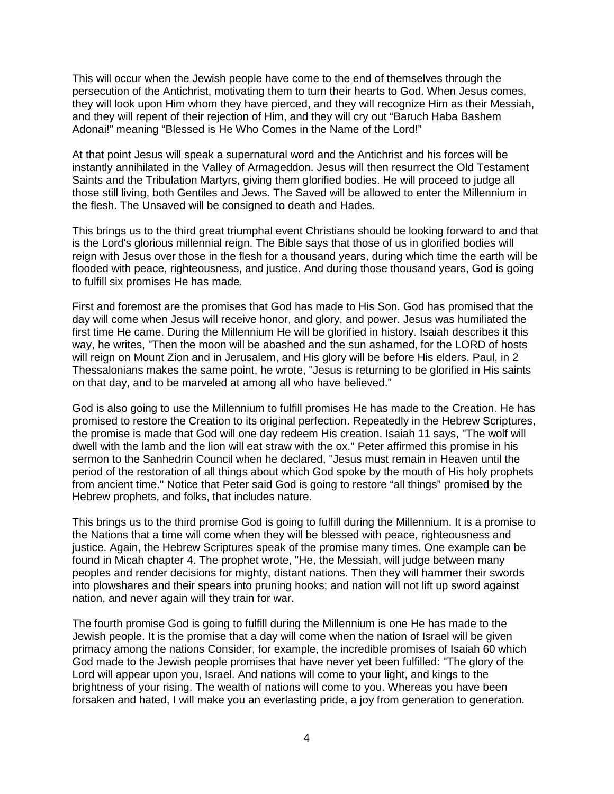This will occur when the Jewish people have come to the end of themselves through the persecution of the Antichrist, motivating them to turn their hearts to God. When Jesus comes, they will look upon Him whom they have pierced, and they will recognize Him as their Messiah, and they will repent of their rejection of Him, and they will cry out "Baruch Haba Bashem Adonai!" meaning "Blessed is He Who Comes in the Name of the Lord!"

At that point Jesus will speak a supernatural word and the Antichrist and his forces will be instantly annihilated in the Valley of Armageddon. Jesus will then resurrect the Old Testament Saints and the Tribulation Martyrs, giving them glorified bodies. He will proceed to judge all those still living, both Gentiles and Jews. The Saved will be allowed to enter the Millennium in the flesh. The Unsaved will be consigned to death and Hades.

This brings us to the third great triumphal event Christians should be looking forward to and that is the Lord's glorious millennial reign. The Bible says that those of us in glorified bodies will reign with Jesus over those in the flesh for a thousand years, during which time the earth will be flooded with peace, righteousness, and justice. And during those thousand years, God is going to fulfill six promises He has made.

First and foremost are the promises that God has made to His Son. God has promised that the day will come when Jesus will receive honor, and glory, and power. Jesus was humiliated the first time He came. During the Millennium He will be glorified in history. Isaiah describes it this way, he writes, "Then the moon will be abashed and the sun ashamed, for the LORD of hosts will reign on Mount Zion and in Jerusalem, and His glory will be before His elders. Paul, in 2 Thessalonians makes the same point, he wrote, "Jesus is returning to be glorified in His saints on that day, and to be marveled at among all who have believed."

God is also going to use the Millennium to fulfill promises He has made to the Creation. He has promised to restore the Creation to its original perfection. Repeatedly in the Hebrew Scriptures, the promise is made that God will one day redeem His creation. Isaiah 11 says, "The wolf will dwell with the lamb and the lion will eat straw with the ox." Peter affirmed this promise in his sermon to the Sanhedrin Council when he declared, "Jesus must remain in Heaven until the period of the restoration of all things about which God spoke by the mouth of His holy prophets from ancient time." Notice that Peter said God is going to restore "all things" promised by the Hebrew prophets, and folks, that includes nature.

This brings us to the third promise God is going to fulfill during the Millennium. It is a promise to the Nations that a time will come when they will be blessed with peace, righteousness and justice. Again, the Hebrew Scriptures speak of the promise many times. One example can be found in Micah chapter 4. The prophet wrote, "He, the Messiah, will judge between many peoples and render decisions for mighty, distant nations. Then they will hammer their swords into plowshares and their spears into pruning hooks; and nation will not lift up sword against nation, and never again will they train for war.

The fourth promise God is going to fulfill during the Millennium is one He has made to the Jewish people. It is the promise that a day will come when the nation of Israel will be given primacy among the nations Consider, for example, the incredible promises of Isaiah 60 which God made to the Jewish people promises that have never yet been fulfilled: "The glory of the Lord will appear upon you, Israel. And nations will come to your light, and kings to the brightness of your rising. The wealth of nations will come to you. Whereas you have been forsaken and hated, I will make you an everlasting pride, a joy from generation to generation.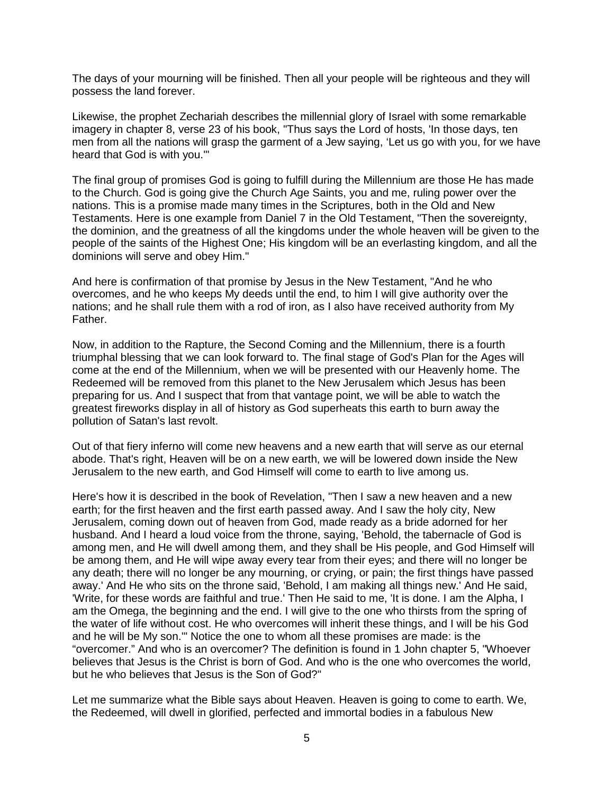The days of your mourning will be finished. Then all your people will be righteous and they will possess the land forever.

Likewise, the prophet Zechariah describes the millennial glory of Israel with some remarkable imagery in chapter 8, verse 23 of his book, "Thus says the Lord of hosts, 'In those days, ten men from all the nations will grasp the garment of a Jew saying, 'Let us go with you, for we have heard that God is with you.'"

The final group of promises God is going to fulfill during the Millennium are those He has made to the Church. God is going give the Church Age Saints, you and me, ruling power over the nations. This is a promise made many times in the Scriptures, both in the Old and New Testaments. Here is one example from Daniel 7 in the Old Testament, "Then the sovereignty, the dominion, and the greatness of all the kingdoms under the whole heaven will be given to the people of the saints of the Highest One; His kingdom will be an everlasting kingdom, and all the dominions will serve and obey Him."

And here is confirmation of that promise by Jesus in the New Testament, "And he who overcomes, and he who keeps My deeds until the end, to him I will give authority over the nations; and he shall rule them with a rod of iron, as I also have received authority from My Father.

Now, in addition to the Rapture, the Second Coming and the Millennium, there is a fourth triumphal blessing that we can look forward to. The final stage of God's Plan for the Ages will come at the end of the Millennium, when we will be presented with our Heavenly home. The Redeemed will be removed from this planet to the New Jerusalem which Jesus has been preparing for us. And I suspect that from that vantage point, we will be able to watch the greatest fireworks display in all of history as God superheats this earth to burn away the pollution of Satan's last revolt.

Out of that fiery inferno will come new heavens and a new earth that will serve as our eternal abode. That's right, Heaven will be on a new earth, we will be lowered down inside the New Jerusalem to the new earth, and God Himself will come to earth to live among us.

Here's how it is described in the book of Revelation, "Then I saw a new heaven and a new earth; for the first heaven and the first earth passed away. And I saw the holy city, New Jerusalem, coming down out of heaven from God, made ready as a bride adorned for her husband. And I heard a loud voice from the throne, saying, 'Behold, the tabernacle of God is among men, and He will dwell among them, and they shall be His people, and God Himself will be among them, and He will wipe away every tear from their eyes; and there will no longer be any death; there will no longer be any mourning, or crying, or pain; the first things have passed away.' And He who sits on the throne said, 'Behold, I am making all things new.' And He said, 'Write, for these words are faithful and true.' Then He said to me, 'It is done. I am the Alpha, I am the Omega, the beginning and the end. I will give to the one who thirsts from the spring of the water of life without cost. He who overcomes will inherit these things, and I will be his God and he will be My son.'" Notice the one to whom all these promises are made: is the "overcomer." And who is an overcomer? The definition is found in 1 John chapter 5, "Whoever believes that Jesus is the Christ is born of God. And who is the one who overcomes the world, but he who believes that Jesus is the Son of God?"

Let me summarize what the Bible says about Heaven. Heaven is going to come to earth. We, the Redeemed, will dwell in glorified, perfected and immortal bodies in a fabulous New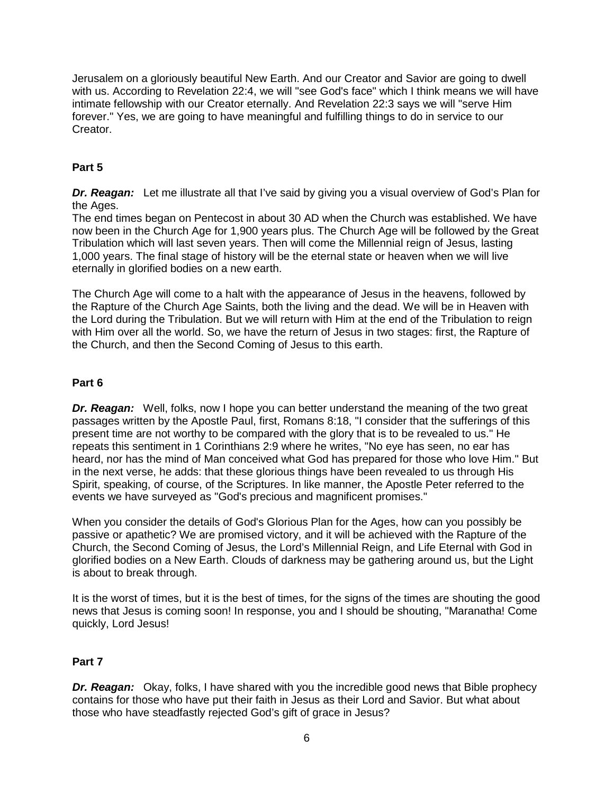Jerusalem on a gloriously beautiful New Earth. And our Creator and Savior are going to dwell with us. According to Revelation 22:4, we will "see God's face" which I think means we will have intimate fellowship with our Creator eternally. And Revelation 22:3 says we will "serve Him forever." Yes, we are going to have meaningful and fulfilling things to do in service to our Creator.

# **Part 5**

*Dr. Reagan:* Let me illustrate all that I've said by giving you a visual overview of God's Plan for the Ages.

The end times began on Pentecost in about 30 AD when the Church was established. We have now been in the Church Age for 1,900 years plus. The Church Age will be followed by the Great Tribulation which will last seven years. Then will come the Millennial reign of Jesus, lasting 1,000 years. The final stage of history will be the eternal state or heaven when we will live eternally in glorified bodies on a new earth.

The Church Age will come to a halt with the appearance of Jesus in the heavens, followed by the Rapture of the Church Age Saints, both the living and the dead. We will be in Heaven with the Lord during the Tribulation. But we will return with Him at the end of the Tribulation to reign with Him over all the world. So, we have the return of Jesus in two stages: first, the Rapture of the Church, and then the Second Coming of Jesus to this earth.

## **Part 6**

**Dr. Reagan:** Well, folks, now I hope you can better understand the meaning of the two great passages written by the Apostle Paul, first, Romans 8:18, "I consider that the sufferings of this present time are not worthy to be compared with the glory that is to be revealed to us." He repeats this sentiment in 1 Corinthians 2:9 where he writes, "No eye has seen, no ear has heard, nor has the mind of Man conceived what God has prepared for those who love Him." But in the next verse, he adds: that these glorious things have been revealed to us through His Spirit, speaking, of course, of the Scriptures. In like manner, the Apostle Peter referred to the events we have surveyed as "God's precious and magnificent promises."

When you consider the details of God's Glorious Plan for the Ages, how can you possibly be passive or apathetic? We are promised victory, and it will be achieved with the Rapture of the Church, the Second Coming of Jesus, the Lord's Millennial Reign, and Life Eternal with God in glorified bodies on a New Earth. Clouds of darkness may be gathering around us, but the Light is about to break through.

It is the worst of times, but it is the best of times, for the signs of the times are shouting the good news that Jesus is coming soon! In response, you and I should be shouting, "Maranatha! Come quickly, Lord Jesus!

## **Part 7**

*Dr. Reagan:* Okay, folks, I have shared with you the incredible good news that Bible prophecy contains for those who have put their faith in Jesus as their Lord and Savior. But what about those who have steadfastly rejected God's gift of grace in Jesus?